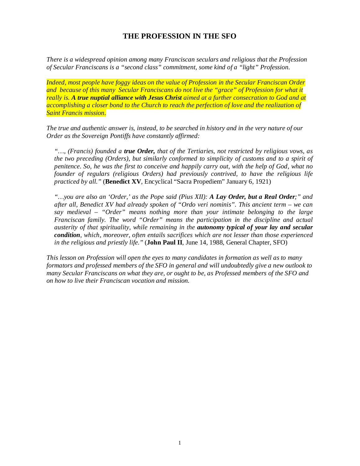# **THE PROFESSION IN THE SFO**

*There is a widespread opinion among many Franciscan seculars and religious that the Profession of Secular Franciscans is a "second class" commitment, some kind of a "light" Profession.* 

*Indeed, most people have foggy ideas on the value of Profession in the Secular Franciscan Order and because of this many Secular Franciscans do not live the "grace" of Profession for what it really is. A true nuptial alliance with Jesus Christ aimed at a further consecration to God and at*  accomplishing a closer bond to the Church to reach the perfection of love and the realization of *Saint Francis mission.* 

*The true and authentic answer is, instead, to be searched in history and in the very nature of our Order as the Sovereign Pontiffs have constantly affirmed:* 

*"…, (Francis) founded a true Order, that of the Tertiaries, not restricted by religious vows, as the two preceding (Orders), but similarly conformed to simplicity of customs and to a spirit of penitence. So, he was the first to conceive and happily carry out, with the help of God, what no founder of regulars (religious Orders) had previously contrived, to have the religious life practiced by all."* (**Benedict XV**, Encyclical "Sacra Propediem" January 6, 1921)

*"…you are also an 'Order,' as the Pope said (Pius XII): A Lay Order, but a Real Order;" and after all, Benedict XV had already spoken of "Ordo veri nominis". This ancient term – we can say medieval – "Order" means nothing more than your intimate belonging to the large Franciscan family. The word "Order" means the participation in the discipline and actual austerity of that spirituality, while remaining in the autonomy typical of your lay and secular condition, which, moreover, often entails sacrifices which are not lesser than those experienced in the religious and priestly life."* (**John Paul II**, June 14, 1988, General Chapter, SFO)

*This lesson on Profession will open the eyes to many candidates in formation as well as to many formators and professed members of the SFO in general and will undoubtedly give a new outlook to many Secular Franciscans on what they are, or ought to be, as Professed members of the SFO and on how to live their Franciscan vocation and mission.*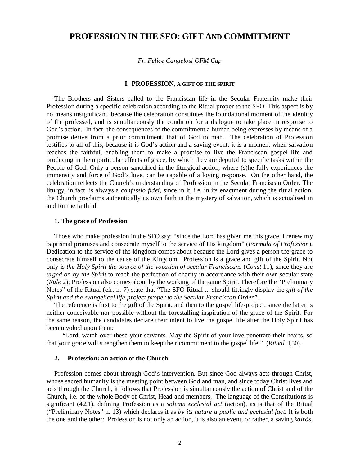# **PROFESSION IN THE SFO: GIFT AND COMMITMENT**

#### *Fr. Felice Cangelosi OFM Cap*

#### **I. PROFESSION, A GIFT OF THE SPIRIT**

The Brothers and Sisters called to the Franciscan life in the Secular Fraternity make their Profession during a specific celebration according to the Ritual proper to the SFO. This aspect is by no means insignificant, because the celebration constitutes the foundational moment of the identity of the professed, and is simultaneously the condition for a dialogue to take place in response to God's action. In fact, the consequences of the commitment a human being expresses by means of a promise derive from a prior commitment, that of God to man. The celebration of Profession testifies to all of this, because it is God's action and a saving event: it is a moment when salvation reaches the faithful, enabling them to make a promise to live the Franciscan gospel life and producing in them particular effects of grace, by which they are deputed to specific tasks within the People of God. Only a person sanctified in the liturgical action, where (s)he fully experiences the immensity and force of God's love, can be capable of a loving response. On the other hand, the celebration reflects the Church's understanding of Profession in the Secular Franciscan Order. The liturgy, in fact, is always a *confessio fidei,* since in it, i.e. in its enactment during the ritual action, the Church proclaims authentically its own faith in the mystery of salvation, which is actualised in and for the faithful.

#### **1. The grace of Profession**

Those who make profession in the SFO say: "since the Lord has given me this grace, I renew my baptismal promises and consecrate myself to the service of His kingdom" (*Formula of Profession*). Dedication to the service of the kingdom comes about because the Lord gives a person the grace to consecrate himself to the cause of the Kingdom. Profession is a grace and gift of the Spirit. Not only is *the Holy Spirit the source of the vocation of secular Franciscans* (*Const* 11), since they are *urged on by the Spirit* to reach the perfection of charity in accordance with their own secular state (*Rule* 2); Profession also comes about by the working of the same Spirit. Therefore the "Preliminary Notes" of the Ritual (cfr. n. 7) state that "The SFO Ritual ... should fittingly display the *gift of the Spirit and the evangelical life-project proper to the Secular Franciscan Order".*

The reference is first to the gift of the Spirit, and then to the gospel life-project, since the latter is neither conceivable nor possible without the forestalling inspiration of the grace of the Spirit. For the same reason, the candidates declare their intent to live the gospel life after the Holy Spirit has been invoked upon them:

 "Lord, watch over these your servants. May the Spirit of your love penetrate their hearts, so that your grace will strengthen them to keep their commitment to the gospel life." (*Ritual* II,30).

#### **2. Profession: an action of the Church**

Profession comes about through God's intervention. But since God always acts through Christ, whose sacred humanity is the meeting point between God and man, and since today Christ lives and acts through the Church, it follows that Profession is simultaneously the action of Christ and of the Church, i.e. of the whole Body of Christ, Head and members. The language of the Constitutions is significant (42,1), defining Profession as a *solemn ecclesial act* (action), as is that of the Ritual ("Preliminary Notes" n. 13) which declares it as *by its nature a public and ecclesial fact.* It is both the one and the other: Profession is not only an action, it is also an event, or rather, a saving *kairòs,*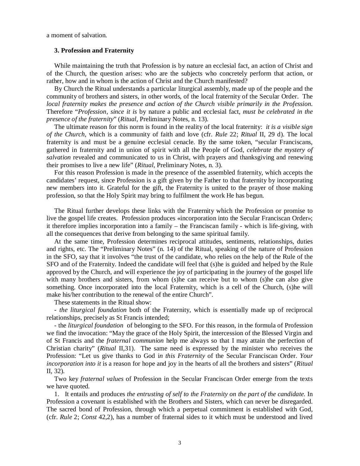a moment of salvation.

#### **3. Profession and Fraternity**

While maintaining the truth that Profession is by nature an ecclesial fact, an action of Christ and of the Church, the question arises: who are the subjects who concretely perform that action, or rather, how and in whom is the action of Christ and the Church manifested?

By Church the Ritual understands a particular liturgical assembly, made up of the people and the community of brothers and sisters, in other words, of the local fraternity of the Secular Order. The *local fraternity makes the presence and action of the Church visible primarily in the Profession.*  Therefore "*Profession, since it is* by nature a public and ecclesial fact, *must be celebrated in the presence of the fraternity*" (*Ritual*, Preliminary Notes, n. 13)*.* 

The ultimate reason for this norm is found in the reality of the local fraternity: *it is a visible sign of the Church,* which is a community of faith and love (cfr. *Rule* 22; *Ritual* II, 29 d). The local fraternity is and must be a genuine ecclesial cenacle. By the same token, "secular Franciscans, gathered in fraternity and in union of spirit with all the People of God, *celebrate the mystery of salvation* revealed and communicated to us in Christ, with prayers and thanksgiving and renewing their promises to live a new life" (*Ritual*, Preliminary Notes, n. 3).

For this reason Profession is made in the presence of the assembled fraternity, which accepts the candidates' request, since Profession is a gift given by the Father to that fraternity by incorporating new members into it. Grateful for the gift, the Fraternity is united to the prayer of those making profession, so that the Holy Spirit may bring to fulfilment the work He has begun.

The Ritual further develops these links with the Fraternity which the Profession or promise to live the gospel life creates. Profession produces «incorporation into the Secular Franciscan Order»; it therefore implies incorporation into a family – the Franciscan family - which is life-giving, with all the consequences that derive from belonging to the same spiritual family.

At the same time, Profession determines reciprocal attitudes, sentiments, relationships, duties and rights, etc. The "Preliminary Notes" (n. 14) of the Ritual, speaking of the nature of Profession in the SFO, say that it involves "the trust of the candidate, who relies on the help of the Rule of the SFO and of the Fraternity. Indeed the candidate will feel that (s)he is guided and helped by the Rule approved by the Church, and will experience the joy of participating in the journey of the gospel life with many brothers and sisters, from whom (s)he can receive but to whom (s)he can also give something. Once incorporated into the local Fraternity, which is a cell of the Church, (s)he will make his/her contribution to the renewal of the entire Church".

These statements in the Ritual show:

- *the liturgical foundation* both of the Fraternity, which is essentially made up of reciprocal relationships, precisely as St Francis intended;

- the *liturgical foundation* of belonging to the SFO. For this reason, in the formula of Profession we find the invocation: "May the grace of the Holy Spirit, the intercession of the Blessed Virgin and of St Francis and the *fraternal communion* help me always so that I may attain the perfection of Christian charity" (*Ritual* II,31). The same need is expressed by the minister who receives the Profession: "Let us give thanks to God i*n this Fraternity* of the Secular Franciscan Order. *Your incorporation into it* is a reason for hope and joy in the hearts of all the brothers and sisters" (*Ritual* II, 32).

Two key *fraternal values* of Profession in the Secular Franciscan Order emerge from the texts we have quoted.

1. It entails and produces *the entrusting of self to the Fraternity on the part of the candidate.* In Profession a covenant is established with the Brothers and Sisters, which can never be disregarded. The sacred bond of Profession, through which a perpetual commitment is established with God, (cfr. *Rule* 2; *Const* 42,2), has a number of fraternal sides to it which must be understood and lived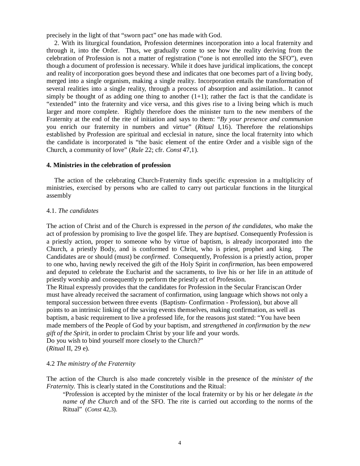precisely in the light of that "sworn pact" one has made with God.

2. With its liturgical foundation, Profession determines incorporation into a local fraternity and through it, into the Order. Thus, we gradually come to see how the reality deriving from the celebration of Profession is not a matter of registration ("one is not enrolled into the SFO"), even though a document of profession is necessary. While it does have juridical implications, the concept and reality of incorporation goes beyond these and indicates that one becomes part of a living body, merged into a single organism, making a single reality. Incorporation entails the transformation of several realities into a single reality, through a process of absorption and assimilation.. It cannot simply be thought of as adding one thing to another  $(1+1)$ ; rather the fact is that the candidate is "extended" into the fraternity and vice versa, and this gives rise to a living being which is much larger and more complete. Rightly therefore does the minister turn to the new members of the Fraternity at the end of the rite of initiation and says to them: "*By your presence and communion* you enrich our fraternity in numbers and virtue" (*Ritual* I,16). Therefore the relationships established by Profession are spiritual and ecclesial in nature, since the local fraternity into which the candidate is incorporated is "the basic element of the entire Order and a visible sign of the Church, a community of love" (*Rule* 22; cfr. *Const* 47,1).

### **4. Ministries in the celebration of profession**

The action of the celebrating Church-Fraternity finds specific expression in a multiplicity of ministries, exercised by persons who are called to carry out particular functions in the liturgical assembly

### 4.1. *The candidates*

The action of Christ and of the Church is expressed in the *person of the candidates,* who make the act of profession by promising to live the gospel life. They are *baptised.* Consequently Profession is a priestly action, proper to someone who by virtue of baptism, is already incorporated into the Church, a priestly Body, and is conformed to Christ, who is priest, prophet and king. The Candidates are or should (must) be *confirmed*. Consequently, Profession is a priestly action, proper to one who, having newly received the gift of the Holy Spirit in *confirmation*, has been empowered and deputed to celebrate the Eucharist and the sacraments, to live his or her life in an attitude of priestly worship and consequently to perform the priestly act of Profession.

The Ritual expressly provides that the candidates for Profession in the Secular Franciscan Order must have already received the sacrament of confirmation, using language which shows not only a temporal succession between three events (Baptism- Confirmation - Profession), but above all points to an intrinsic linking of the saving events themselves, making confirmation, as well as baptism, a basic requirement to live a professed life, for the reasons just stated: "You have been made members of the People of God by your baptism, and *strengthened in confirmation* by the *new gift of the Spirit*, in order to proclaim Christ by your life and your words. Do you wish to bind yourself more closely to the Church?"

(*Ritual* II, 29 e).

### 4.2 *The ministry of the Fraternity*

The action of the Church is also made concretely visible in the presence of the *minister of the Fraternity.* This is clearly stated in the Constitutions and the Ritual:

"Profession is accepted by the minister of the local fraternity or by his or her delegate *in the name of the Church* and of the SFO. The rite is carried out according to the norms of the Ritual" (*Const* 42,3).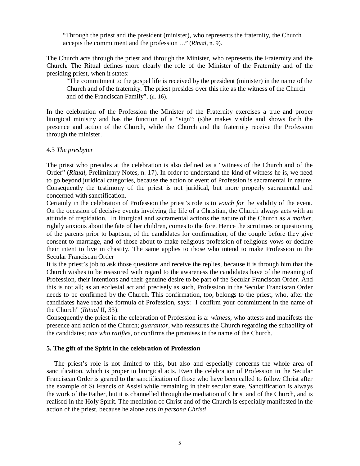"Through the priest and the president (minister), who represents the fraternity, the Church accepts the commitment and the profession …" (*Ritual*, n. 9).

The Church acts through the priest and through the Minister, who represents the Fraternity and the Church. The Ritual defines more clearly the role of the Minister of the Fraternity and of the presiding priest, when it states:

"The commitment to the gospel life is received by the president (minister) in the name of the Church and of the fraternity. The priest presides over this rite as the witness of the Church and of the Franciscan Family". (n. 16).

In the celebration of the Profession the Minister of the Fraternity exercises a true and proper liturgical ministry and has the function of a "sign": (s)he makes visible and shows forth the presence and action of the Church, while the Church and the fraternity receive the Profession through the minister.

### 4.3 *The presbyter*

The priest who presides at the celebration is also defined as a "witness of the Church and of the Order" (*Ritual*, Preliminary Notes, n. 17). In order to understand the kind of witness he is, we need to go beyond juridical categories, because the action or event of Profession is sacramental in nature. Consequently the testimony of the priest is not juridical, but more properly sacramental and concerned with sanctification.

Certainly in the celebration of Profession the priest's role is to *vouch for* the validity of the event. On the occasion of decisive events involving the life of a Christian, the Church always acts with an attitude of trepidation. In liturgical and sacramental actions the nature of the Church as a *mother,*  rightly anxious about the fate of her children, comes to the fore. Hence the scrutinies or questioning of the parents prior to baptism, of the candidates for confirmation, of the couple before they give consent to marriage, and of those about to make religious profession of religious vows or declare their intent to live in chastity. The same applies to those who intend to make Profession in the Secular Franciscan Order

It is the priest's job to ask those questions and receive the replies, because it is through him that the Church wishes to be reassured with regard to the awareness the candidates have of the meaning of Profession, their intentions and their genuine desire to be part of the Secular Franciscan Order. And this is not all; as an ecclesial act and precisely as such, Profession in the Secular Franciscan Order needs to be confirmed by the Church. This confirmation, too, belongs to the priest, who, after the candidates have read the formula of Profession, says: I confirm your commitment in the name of the Church" (*Ritual* II, 33).

Consequently the priest in the celebration of Profession is a: *witness,* who attests and manifests the presence and action of the Church; *guarantor,* who reassures the Church regarding the suitability of the candidates; *one who ratifies,* or confirms the promises in the name of the Church.

### **5. The gift of the Spirit in the celebration of Profession**

The priest's role is not limited to this, but also and especially concerns the whole area of sanctification, which is proper to liturgical acts. Even the celebration of Profession in the Secular Franciscan Order is geared to the sanctification of those who have been called to follow Christ after the example of St Francis of Assisi while remaining in their secular state. Sanctification is always the work of the Father, but it is channelled through the mediation of Christ and of the Church, and is realised in the Holy Spirit. The mediation of Christ and of the Church is especially manifested in the action of the priest, because he alone acts *in persona Christi.*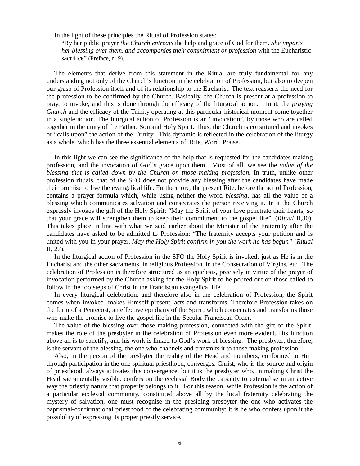In the light of these principles the Ritual of Profession states:

"By her public prayer *the Church entreats* the help and grace of God for them. *She imparts her blessing over them, and accompanies their commitment or profession* with the Eucharistic sacrifice" (Preface, n. 9).

The elements that derive from this statement in the Ritual are truly fundamental for any understanding not only of the Church's function in the celebration of Profession, but also to deepen our grasp of Profession itself and of its relationship to the Eucharist. The text reasserts the need for the profession to be confirmed by the Church. Basically, the Church is present at a profession to pray, to invoke, and this is done through the efficacy of the liturgical action. In it, the *praying Church* and the efficacy of the Trinity operating at this particular historical moment come together in a single action. The liturgical action of Profession is an "invocation", by those who are called together in the unity of the Father, Son and Holy Spirit. Thus, the Church is constituted and invokes or "calls upon" the action of the Trinity. This dynamic is reflected in the celebration of the liturgy as a whole, which has the three essential elements of: Rite, Word, Praise.

In this light we can see the significance of the help that is requested for the candidates making profession, and the invocation of God's grace upon them. Most of all, we see the *value of the blessing that is called down by the Church on those making profession.* In truth, unlike other profession rituals, that of the SFO does not provide any blessing after the candidates have made their promise to live the evangelical life. Furthermore, the present Rite, before the act of Profession, contains a prayer formula which, while using neither the word *blessing,* has all the value of a blessing which communicates salvation and consecrates the person receiving it. In it the Church expressly invokes the gift of the Holy Spirit: "May the Spirit of your love penetrate their hearts, so that your grace will strengthen them to keep their commitment to the gospel life". (*Ritual* II,30). This takes place in line with what we said earlier about the Minister of the Fraternity after the candidates have asked to be admitted to Profession: "The fraternity accepts your petition and is united with you in your prayer. *May the Holy Spirit confirm in you the work he has begun"* (*Ritual* II, 27).

In the liturgical action of Profession in the SFO the Holy Spirit is invoked, just as He is in the Eucharist and the other sacraments, in religious Profession, in the Consecration of Virgins, etc. The celebration of Profession is therefore structured as an epiclesis, precisely in virtue of the prayer of invocation performed by the Church asking for the Holy Spirit to be poured out on those called to follow in the footsteps of Christ in the Franciscan evangelical life.

In every liturgical celebration, and therefore also in the celebration of Profession, the Spirit comes when invoked, makes Himself present, acts and transforms. Therefore Profession takes on the form of a Pentecost, an effective epiphany of the Spirit, which consecrates and transforms those who make the promise to live the gospel life in the Secular Franciscan Order.

The value of the blessing over those making profession, connected with the gift of the Spirit, makes the role of the presbyter in the celebration of Profession even more evident. His function above all is to sanctify, and his work is linked to God's work of blessing. The presbyter, therefore, is the servant of the blessing, the one who channels and transmits it to those making profession.

Also, in the person of the presbyter the reality of the Head and members, conformed to Him through participation in the one spiritual priesthood, converges. Christ, who is the source and origin of priesthood, always activates this convergence, but it is the presbyter who, in making Christ the Head sacramentally visible, confers on the ecclesial Body the capacity to externalise in an active way the priestly nature that properly belongs to it. For this reason, while Profession is the action of a particular ecclesial community, constituted above all by the local fraternity celebrating the mystery of salvation, one must recognise in the presiding presbyter the one who activates the baptismal-confirmational priesthood of the celebrating community: it is he who confers upon it the possibility of expressing its proper priestly service.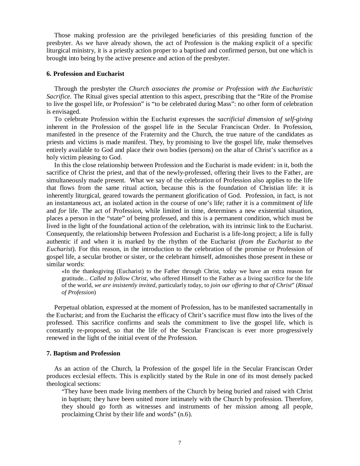Those making profession are the privileged beneficiaries of this presiding function of the presbyter. As we have already shown, the act of Profession is the making explicit of a specific liturgical ministry, it is a priestly action proper to a baptised and confirmed person, but one which is brought into being by the active presence and action of the presbyter.

#### **6. Profession and Eucharist**

Through the presbyter the *Church associates the promise or Profession with the Eucharistic Sacrifice.* The Ritual gives special attention to this aspect, prescribing that the "Rite of the Promise to live the gospel life, or Profession" is "to be celebrated during Mass": no other form of celebration is envisaged.

To celebrate Profession within the Eucharist expresses the *sacrificial dimension of self-giving*  inherent in the Profession of the gospel life in the Secular Franciscan Order. In Profession, manifested in the presence of the Fraternity and the Church, the true nature of the candidates as priests and victims is made manifest. They, by promising to live the gospel life, make themselves entirely available to God and place their own bodies (persons) on the altar of Christ's sacrifice as a holy victim pleasing to God.

In this the close relationship between Profession and the Eucharist is made evident: in it, both the sacrifice of Christ the priest, and that of the newly-professed, offering their lives to the Father, are simultaneously made present. What we say of the celebration of Profession also applies to the life that flows from the same ritual action, because this is the foundation of Christian life: it is inherently liturgical, geared towards the permanent glorification of God. Profession, in fact, is not an instantaneous act, an isolated action in the course of one's life; rather it is a commitment *of* life and *for* life. The act of Profession, while limited in time, determines a new existential situation, places a person in the "state" of being professed, and this is a permanent condition, which must be lived in the light of the foundational action of the celebration, with its intrinsic link to the Eucharist. Consequently, the relationship between Profession and Eucharist is a life-long project; a life is fully authentic if and when it is marked by the rhythm of the Eucharist (*from the Eucharist to the Eucharist*). For this reason, in the introduction to the celebration of the promise or Profession of gospel life, a secular brother or sister, or the celebrant himself, admonishes those present in these or similar words:

«In the thanksgiving (Eucharist) to the Father through Christ, today we have an extra reason for gratitude... *Called to follow Christ,* who offered Himself to the Father as a living sacrifice for the life of the world, *we are insistently invited,* particularly today, to *join our offering to that of Christ*" (*Ritual of Profession*)

Perpetual oblation, expressed at the moment of Profession, has to be manifested sacramentally in the Eucharist; and from the Eucharist the efficacy of Chrit's sacrifice must flow into the lives of the professed. This sacrifice confirms and seals the commitment to live the gospel life, which is constantly re-proposed, so that the life of the Secular Franciscan is ever more progressively renewed in the light of the initial event of the Profession.

#### **7. Baptism and Profession**

As an action of the Church, la Profession of the gospel life in the Secular Franciscan Order produces ecclesial effects. This is explicitly stated by the Rule in one of its most densely packed theological sections:

"They have been made living members of the Church by being buried and raised with Christ in baptism; they have been united more intimately with the Church by profession. Therefore, they should go forth as witnesses and instruments of her mission among all people, proclaiming Christ by their life and words" (n.6).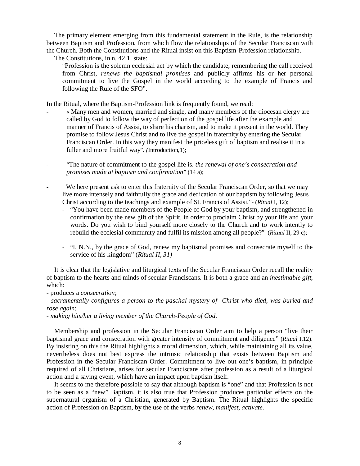The primary element emerging from this fundamental statement in the Rule, is the relationship between Baptism and Profession, from which flow the relationships of the Secular Franciscan with the Church. Both the Constitutions and the Ritual insist on this Baptism-Profession relationship.

The Constitutions, in n. 42,1, state:

"Profession is the solemn ecclesial act by which the candidate, remembering the call received from Christ, *renews the baptismal promises* and publicly affirms his or her personal commitment to live the Gospel in the world according to the example of Francis and following the Rule of the SFO".

In the Ritual, where the Baptism-Profession link is frequently found, we read:

- « Many men and women, married and single, and many members of the diocesan clergy are called by God to follow the way of perfection of the gospel life after the example and manner of Francis of Assisi, to share his charism, and to make it present in the world. They promise to follow Jesus Christ and to live the gospel in fraternity by entering the Secular Franciscan Order. In this way they manifest the priceless gift of baptism and realise it in a fuller and more fruitful way". *(*Introduction,1);
- "The nature of commitment to the gospel life is: *the renewal of one's consecration and promises made at baptism and confirmation*" (14 a);
- We here present ask to enter this fraternity of the Secular Franciscan Order, so that we may live more intensely and faithfully the grace and dedication of our baptism by following Jesus Christ according to the teachings and example of St. Francis of Assisi."- (*Ritual* I, 12);
	- "You have been made members of the People of God by your baptism, and strengthened in confirmation by the new gift of the Spirit, in order to proclaim Christ by your life and your words. Do you wish to bind yourself more closely to the Church and to work intently to rebuild the ecclesial community and fulfil its mission among all people?" (*Ritual* II, 29 c);
	- "I, N.N., by the grace of God, renew my baptismal promises and consecrate myself to the service of his kingdom" (*Ritual II, 31)*

It is clear that the legislative and liturgical texts of the Secular Franciscan Order recall the reality of baptism to the hearts and minds of secular Franciscans. It is both a grace and an *inestimable gift*, which:

- produces a *consecration*;

- *sacramentally configures a person to the paschal mystery of Christ who died, was buried and rose again*;

- *making him/her a living member of the Church-People of God.*

Membership and profession in the Secular Franciscan Order aim to help a person "live their baptismal grace and consecration with greater intensity of commitment and diligence" (*Ritual* I,12). By insisting on this the Ritual highlights a moral dimension, which, while maintaining all its value, nevertheless does not best express the intrinsic relationship that exists between Baptism and Profession in the Secular Franciscan Order. Commitment to live out one's baptism, in principle required of all Christians, arises for secular Franciscans after profession as a result of a liturgical action and a saving event, which have an impact upon baptism itself.

It seems to me therefore possible to say that although baptism is "one" and that Profession is not to be seen as a "new" Baptism, it is also true that Profession produces particular effects on the supernatural organism of a Christian, generated by Baptism. The Ritual highlights the specific action of Profession on Baptism, by the use of the verbs *renew, manifest, activate.*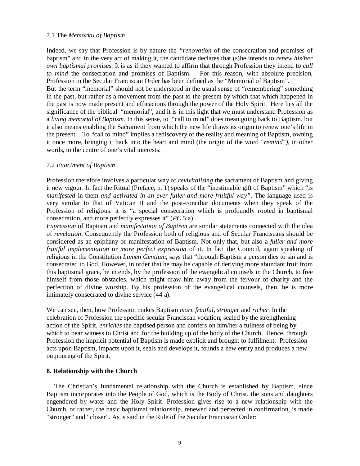# 7.1 The *Memorial of Baptism*

Indeed, we say that Profession is by nature the *"renovation* of the consecration and promises of baptism" and in the very act of making it, the candidate declares that (s)he intends to *renew his/her own baptismal promises.* It is as if they wanted to affirm that through Profession they intend to *call to mind* the consecration and promises of Baptism. For this reason, with absolute precision, Profession in the Secular Franciscan Order has been defined as the "Memorial of Baptism".

But the term "memorial" should not be understood in the usual sense of "remembering" something in the past, but rather as a movement from the past to the present by which that which happened in the past is now made present and efficacious through the power of the Holy Spirit. Here lies all the significance of the biblical "memorial", and it is in this light that we must understand Profession as a *living memorial of Baptism.* In this sense, to "call to mind" does mean going back to Baptism, but it also means enabling the Sacrament from which the new life draws its origin to renew one's life in the present. To "call to mind" implies a rediscovery of the reality and meaning of Baptism, owning it once more, bringing it back into the heart and mind (the origin of the word "*remind*"*),* in other words, to the centre of one's vital interests.

# 7.2 *Enactment of Baptism*

Profession therefore involves a particular way of *revivitalising* the sacrament of Baptism and giving it new vigour. In fact the Ritual (Preface, n. 1) speaks of the "inestimable gift of Baptism" which "is *manifested* in them *and activated in an ever fuller and more fruitful way".* The language used is very similar to that of Vatican II and the post-conciliar documents when they speak of the Profession of religious: it is "a special consecration which is profoundly rooted in baptismal consecration, and more perfectly expresses it" (*PC* 5 a).

*Expression* of Baptism and *manifestation of Baptism* are similar statements connected with the idea of *revelation*. Consequently the Profession both of religious and of Secular Franciscans should be considered as an epiphany or manifestation of Baptism. Not only that, but also a *fuller and more fruitful implementation* or *more perfect expression* of it. In fact the Council, again speaking of religious in the Constitution *Lumen Gentium,* says that "through Baptism a person dies to sin and is consecrated to God. However, in order that he may be capable of deriving more abundant fruit from this baptismal grace, he intends, by the profession of the evangelical counsels in the Church, to free himself from those obstacles, which might draw him away from the fervour of charity and the perfection of divine worship. By his profession of the evangelical counsels, then, he is more intimately consecrated to divine service (44 a).

We can see, then, how Profession makes Baptism *more fruitful, stronger* and *richer*. In the celebration of Profession the specific secular Franciscan vocation, sealed by the strengthening action of the Spirit, *enriches* the baptised person and confers on him/her a fullness of being by which to bear witness to Christ and for the building up of the body of the Church. Hence, through Profession the implicit potential of Baptism is made explicit and brought to fulfilment. Profession acts upon Baptism, impacts upon it, seals and develops it, founds a new entity and produces a new outpouring of the Spirit.

# **8. Relationship with the Church**

The Christian's fundamental relationship with the Church is established by Baptism, since Baptism incorporates into the People of God, which is the Body of Christ, the sons and daughters engendered by water and the Holy Spirit. Profession gives rise to a new relationship with the Church, or rather, the basic baptismal relationship, renewed and perfected in confirmation, is made "stronger" and "closer". As is said in the Rule of the Secular Franciscan Order: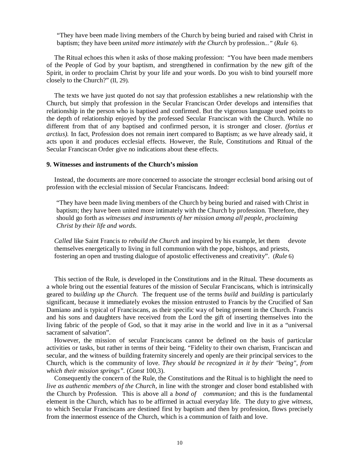"They have been made living members of the Church by being buried and raised with Christ in baptism; they have been *united more intimately with the Church* by profession*..."* (*Rule* 6).

The Ritual echoes this when it asks of those making profession: "You have been made members of the People of God by your baptism, and strengthened in confirmation by the new gift of the Spirit, in order to proclaim Christ by your life and your words. Do you wish to bind yourself more closely to the Church?" (II, 29)*.*

The texts we have just quoted do not say that profession establishes a new relationship with the Church, but simply that profession in the Secular Franciscan Order develops and intensifies that relationship in the person who is baptised and confirmed. But the vigorous language used points to the depth of relationship enjoyed by the professed Secular Franciscan with the Church. While no different from that of any baptised and confirmed person, it is stronger and closer. *(fortius et arctius).* In fact, Profession does not remain inert compared to Baptism; as we have already said, it acts upon it and produces ecclesial effects. However, the Rule, Constitutions and Ritual of the Secular Franciscan Order give no indications about these effects.

### **9. Witnesses and instruments of the Church's mission**

Instead, the documents are more concerned to associate the stronger ecclesial bond arising out of profession with the ecclesial mission of Secular Franciscans. Indeed:

"They have been made living members of the Church by being buried and raised with Christ in baptism; they have been united more intimately with the Church by profession. Therefore, they should go forth as *witnesses and instruments of her mission among all people, proclaiming Christ by their life and words*.

*Called* like Saint Francis *to rebuild the Church* and inspired by his example, let them devote themselves energetically to living in full communion with the pope, bishops, and priests, fostering an open and trusting dialogue of apostolic effectiveness and creativity". (*Rule* 6)

This section of the Rule, is developed in the Constitutions and in the Ritual. These documents as a whole bring out the essential features of the mission of Secular Franciscans, which is intrinsically geared to *building up the Church.* The frequent use of the terms *build* and *building* is particularly significant, because it immediately evokes the mission entrusted to Francis by the Crucified of San Damiano and is typical of Franciscans, as their specific way of being present in the Church. Francis and his sons and daughters have received from the Lord the gift of inserting themselves into the living fabric of the people of God, so that it may arise in the world and live in it as a "universal sacrament of salvation".

However, the mission of secular Franciscans cannot be defined on the basis of particular activities or tasks, but rather in terms of their being. "Fidelity to their own charism, Franciscan and secular, and the witness of building fraternity sincerely and openly are their principal services to the Church, which is the community of love. *They should be recognized in it by their "being", from which their mission springs".* (*Const* 100,3).

Consequently the concern of the Rule, the Constitutions and the Ritual is to highlight the need to *live as authentic members of the Church*, in line with the stronger and closer bond established with the Church by Profession. This is above all a *bond of communion;* and this is the fundamental element in the Church, which has to be affirmed in actual everyday life. The duty to give *witness,*  to which Secular Franciscans are destined first by baptism and then by profession, flows precisely from the innermost essence of the Church, which is a communion of faith and love.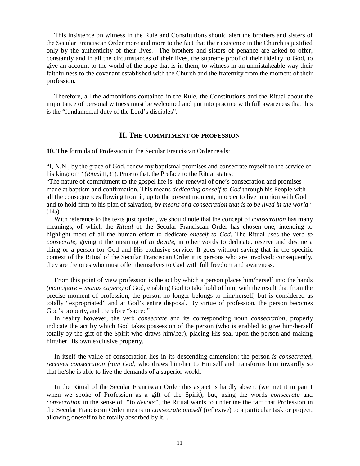This insistence on witness in the Rule and Constitutions should alert the brothers and sisters of the Secular Franciscan Order more and more to the fact that their existence in the Church is justified only by the authenticity of their lives. The brothers and sisters of penance are asked to offer, constantly and in all the circumstances of their lives, the supreme proof of their fidelity to God, to give an account to the world of the hope that is in them, to witness in an unmistakeable way their faithfulness to the covenant established with the Church and the fraternity from the moment of their profession.

Therefore, all the admonitions contained in the Rule, the Constitutions and the Ritual about the importance of personal witness must be welcomed and put into practice with full awareness that this is the "fundamental duty of the Lord's disciples".

# **II. THE COMMITMENT OF PROFESSION**

**10. The** formula of Profession in the Secular Franciscan Order reads:

"I, N.N., by the grace of God, renew my baptismal promises and consecrate myself to the service of his kingdom<sup>*" (Ritual* II, 31). Prior to that, the Preface to the Ritual states:</sup>

"The nature of commitment to the gospel life is: the renewal of one's consecration and promises made at baptism and confirmation. This means *dedicating oneself to God* through his People with all the consequences flowing from it, up to the present moment, in order to live in union with God and to hold firm to his plan of salvation, *by means of a consecration that is to be lived in the world*" (14a).

With reference to the texts just quoted, we should note that the concept of *consecration* has many meanings*,* of which the *Ritual* of the Secular Franciscan Order has chosen one, intending to highlight most of all the human effort to dedicate *oneself to God.* The Ritual uses the verb *to consecrate,* giving it the meaning of *to devote,* in other words to dedicate, reserve and destine a thing or a person for God and His exclusive service. It goes without saying that in the specific context of the Ritual of the Secular Franciscan Order it is persons who are involved; consequently, they are the ones who must offer themselves to God with full freedom and awareness.

From this point of view profession is the act by which a person places him/herself into the hands *(mancipare* **=** *manus capere)* of God, enabling God to take hold of him, with the result that from the precise moment of profession, the person no longer belongs to him/herself, but is considered as totally "expropriated" and at God's entire disposal. By virtue of profession, the person becomes God's property, and therefore "sacred"

In reality however, the verb *consecrate* and its corresponding noun *consecration,* properly indicate the act by which God takes possession of the person (who is enabled to give him/herself totally by the gift of the Spirit who draws him/her), placing His seal upon the person and making him/her His own exclusive property.

In itself the value of consecration lies in its descending dimension: the person *is consecrated, receives consecration from God,* who draws him/her to Himself and transforms him inwardly so that he/she is able to live the demands of a superior world.

In the Ritual of the Secular Franciscan Order this aspect is hardly absent (we met it in part I when we spoke of Profession as a gift of the Spirit), but, using the words *consecrate* and *consecration* in the sense of "to *devote",* the Ritual wants to underline the fact that Profession in the Secular Franciscan Order means to *consecrate oneself* (reflexive) to a particular task or project, allowing oneself to be totally absorbed by it. .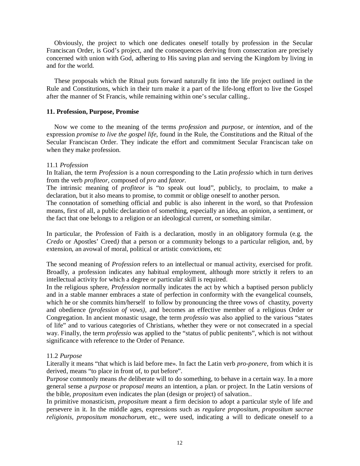Obviously, the project to which one dedicates oneself totally by profession in the Secular Franciscan Order, is God's project, and the consequences deriving from consecration are precisely concerned with union with God, adhering to His saving plan and serving the Kingdom by living in and for the world.

These proposals which the Ritual puts forward naturally fit into the life project outlined in the Rule and Constitutions, which in their turn make it a part of the life-long effort to live the Gospel after the manner of St Francis, while remaining within one's secular calling..

# **11. Profession, Purpose, Promise**

Now we come to the meaning of the terms *profession* and *purpose,* or *intention*, and of the expression *promise to live the gospel life*, found in the Rule, the Constitutions and the Ritual of the Secular Franciscan Order. They indicate the effort and commitment Secular Franciscan take on when they make profession.

# 11.1 *Profession*

In Italian, the term *Profession* is a noun corresponding to the Latin *professio* which in turn derives from the verb *profiteor,* composed of *pro* and *fateor.* 

The intrinsic meaning of *profiteor* is "to speak out loud", publicly, to proclaim, to make a declaration, but it also means to promise, to commit or oblige oneself to another person.

The connotation of something official and public is also inherent in the word, so that Profession means, first of all, a public declaration of something, especially an idea, an opinion, a sentiment, or the fact that one belongs to a religion or an ideological current, or something similar.

In particular, the Profession of Faith is a declaration, mostly in an obligatory formula (e.g. the *Credo* or Apostles' Creed*)* that a person or a community belongs to a particular religion, and, by extension, an avowal of moral, political or artistic convictions, etc

The second meaning of *Profession* refers to an intellectual or manual activity, exercised for profit. Broadly, a profession indicates any habitual employment, although more strictly it refers to an intellectual activity for which a degree or particular skill is required.

In the religious sphere, *Profession* normally indicates the act by which a baptised person publicly and in a stable manner embraces a state of perfection in conformity with the evangelical counsels, which he or she commits him/herself to follow by pronouncing the three vows of chastity, poverty and obedience *(profession of vows),* and becomes an effective member of a religious Order or Congregation. In ancient monastic usage, the term *professio* was also applied to the various "states of life" and to various categories of Christians, whether they were or not consecrated in a special way. Finally, the term *professio* was applied to the "status of public penitents", which is not without significance with reference to the Order of Penance.

### 11.2 *Purpose*

Literally it means "that which is laid before me». In fact the Latin verb *pro-ponere,* from which it is derived, means "to place in front of, to put before".

P*urpose* commonly means *the* deliberate will to do something, to behave in a certain way. In a more general sense a *purpose* or *proposal means* an intention, a plan. or project. In the Latin versions of the bible, *propositum* even indicates the plan (design or project) of salvation..

In primitive monasticism, *propositum* meant a firm decision to adopt a particular style of life and persevere in it. In the middle ages, expressions such as *regulare propositum, propositum sacrae religionis, propositum monachorum,* etc., were used, indicating a will to dedicate oneself to a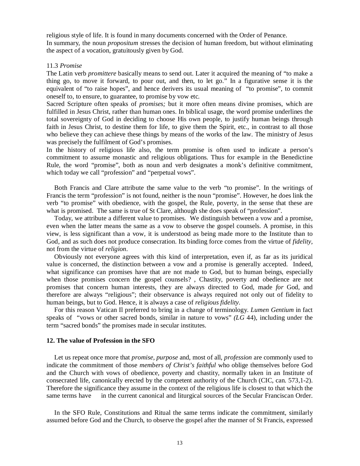religious style of life. It is found in many documents concerned with the Order of Penance. In summary, the noun *propositum* stresses the decision of human freedom, but without eliminating the aspect of a vocation, gratuitously given by God.

#### 11.3 *Promise*

The Latin verb *promittere* basically means to send out. Later it acquired the meaning of "to make a thing go, to move it forward, to pour out, and then, to let go." In a figurative sense it is the equivalent of "to raise hopes", and hence derivers its usual meaning of "to promise", to commit oneself to, to ensure, to guarantee, to promise by vow etc.

Sacred Scripture often speaks of *promises;* but it more often means divine promises, which are fulfilled in Jesus Christ, rather than human ones. In biblical usage, the word promise underlines the total sovereignty of God in deciding to choose His own people, to justify human beings through faith in Jesus Christ, to destine them for life, to give them the Spirit, etc., in contrast to all those who believe they can achieve these things by means of the works of the law. The ministry of Jesus was precisely the fulfilment of God's promises.

In the history of religious life also, the term promise is often used to indicate a person's commitment to assume monastic and religious obligations. Thus for example in the Benedictine Rule, the word "promise", both as noun and verb designates a monk's definitive commitment, which today we call "profession" and "perpetual vows".

Both Francis and Clare attribute the same value to the verb "to promise"*.* In the writings of Francis the term "profession" is not found, neither is the noun "promise". However, he does link the verb "to promise" with obedience, with the gospel, the Rule, poverty, in the sense that these are what is promised. The same is true of St Clare, although she does speak of "profession".

Today, we attribute a different value to promises. We distinguish between a vow and a promise, even when the latter means the same as a vow to observe the gospel counsels. A promise, in this view, is less significant than a vow, it is understood as being made more to the Institute than to God, and as such does not produce consecration. Its binding force comes from the virtue of *fidelity,* not from the virtue of *religion.* 

Obviously not everyone agrees with this kind of interpretation, even if, as far as its juridical value is concerned, the distinction between a vow and a promise is generally accepted. Indeed, what significance can promises have that are not made to God, but to human beings, especially when those promises concern the gospel counsels? , Chastity, poverty and obedience are not promises that concern human interests, they are always directed to God, made *for* God, and therefore are always "religious"; their observance is always required not only out of fidelity to human beings, but to God. Hence, it is always a case of *religious fidelity.* 

For this reason Vatican Il preferred to bring in a change of terminology. *Lumen Gentium* in fact speaks of "vows or other sacred bonds, similar in nature to vows" *(LG* 44), including under the term "sacred bonds" the promises made in secular institutes.

#### **12. The value of Profession in the SFO**

Let us repeat once more that *promise, purpose* and, most of all, *profession* are commonly used to indicate the commitment of those *members of Christ's faithful* who oblige themselves before God and the Church with vows of obedience, poverty and chastity, normally taken in an Institute of consecrated life, canonically erected by the competent authority of the Church (CIC, can. 573,1-2). Therefore the significance they assume in the context of the religious life is closest to that which the same terms have in the current canonical and liturgical sources of the Secular Franciscan Order.

In the SFO Rule, Constitutions and Ritual the same terms indicate the commitment, similarly assumed before God and the Church, to observe the gospel after the manner of St Francis, expressed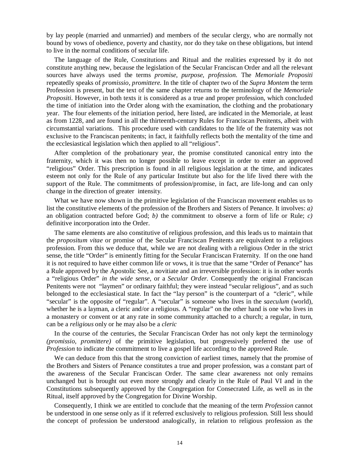by lay people (married and unmarried) and members of the secular clergy, who are normally not bound by vows of obedience, poverty and chastity, nor do they take on these obligations, but intend to live in the normal conditions of secular life.

The language of the Rule, Constitutions and Ritual and the realities expressed by it do not constitute anything new, because the legislation of the Secular Franciscan Order and all the relevant sources have always used the terms *promise, purpose, profession.* The *Memoriale Propositi*  repeatedly speaks of *promissio, promittere.* In the title of chapter two of the *Supra Montem* the term Profession is present*,* but the text of the same chapter returns to the terminology of the *Memoriale Propositi.* However, in both texts it is considered as a true and proper profession, which concluded the time of initiation into the Order along with the examination, the clothing and the probationary year. The four elements of the initiation period, here listed, are indicated in the Memoriale*,* at least as from 1228, and are found in all the thirteenth-century Rules for Franciscan Penitents, albeit with circumstantial variations. This procedure used with candidates to the life of the fraternity was not exclusive to the Franciscan penitents; in fact, it faithfully reflects both the mentality of the time and the ecclesiastical legislation which then applied to all "religious".

After completion of the probationary year, the promise constituted canonical entry into the fraternity, which it was then no longer possible to leave except in order to enter an approved "religious" Order. This prescription is found in all religious legislation at the time, and indicates esteem not only for the Rule of any particular Institute but also for the life lived there with the support of the Rule. The commitments of profession/promise, in fact, are life-long and can only change in the direction of greater intensity.

What we have now shown in the primitive legislation of the Franciscan movement enables us to list the constitutive elements of the profession of the Brothers and Sisters of Penance. It involves: *a)*  an obligation contracted before God; *b)* the commitment to observe a form of life or Rule; *c)*  definitive incorporation into the Order.

The same elements are also constitutive of religious profession, and this leads us to maintain that the *propositum vitae* or promise of the Secular Franciscan Penitents are equivalent to a religious profession. From this we deduce that, while we are not dealing with a religious Order in the strict sense, the title "Order" is eminently fitting for the Secular Franciscan Fraternity. If on the one hand it is not required to have either common life or vows, it is true that the same "Order of Penance" has a Rule approved by the Apostolic See, a novitiate and an irreversible profession: it is in other words a "religious Order" *in the wide sense*, or a *Secular Order.* Consequently the original Franciscan Penitents were not "laymen" or ordinary faithful; they were instead "secular religious", and as such belonged to the ecclesiastical state. In fact the "lay person" is the counterpart of a "cleric", while "secular" is the opposite of "regular". A "secular" is someone who lives in the *saeculum* (world), whether he is a layman, a cleric and/or a religious. A "regular" on the other hand is one who lives in a monastery or convent or at any rate in some community attached to a church; a regular, in turn, can be a *religious* only or he may also be a *cleric*

In the course of the centuries, the Secular Franciscan Order has not only kept the terminology *(promissio, promittere)* of the primitive legislation, but progressively preferred the use of *Profession* to indicate the commitment to live a gospel life according to the approved Rule.

We can deduce from this that the strong conviction of earliest times, namely that the promise of the Brothers and Sisters of Penance constitutes a true and proper profession, was a constant part of the awareness of the Secular Franciscan Order. The same clear awareness not only remains unchanged but is brought out even more strongly and clearly in the Rule of Paul VI and in the Constitutions subsequently approved by the Congregation for Consecrated Life, as well as in the Ritual, itself approved by the Congregation for Divine Worship.

Consequently, I think we are entitled to conclude that the meaning of the term *Profession* cannot be understood in one sense only as if it referred exclusively to religious profession. Still less should the concept of profession be understood analogically, in relation to religious profession as the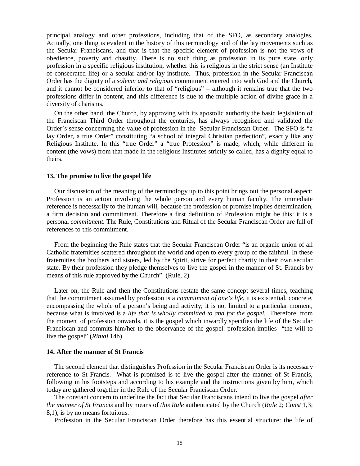principal analogy and other professions, including that of the SFO, as secondary analogies*.*  Actually, one thing is evident in the history of this terminology and of the lay movements such as the Secular Franciscans, and that is that the specific element of profession is not the vows of obedience, poverty and chastity. There is no such thing as profession in its pure state, only profession in a specific religious institution, whether this is religious in the strict sense (an Institute of consecrated life) or a secular and/or lay institute. Thus, profession in the Secular Franciscan Order has the dignity of a *solemn and religious* commitment entered into with God and the Church, and it cannot be considered inferior to that of "religious" – although it remains true that the two professions differ in content, and this difference is due to the multiple action of divine grace in a diversity of charisms.

On the other hand, the Church, by approving with its apostolic authority the basic legislation of the Franciscan Third Order throughout the centuries, has always recognised and validated the Order's sense concerning the value of profession in the Secular Franciscan Order. The SFO is "a lay Order, a true Order" constituting "a school of integral Christian perfection", exactly like any Religious Institute. In this "true Order" a "true Profession" is made, which, while different in content (the vows) from that made in the religious Institutes strictly so called, has a dignity equal to theirs.

#### **13. The promise to live the gospel life**

Our discussion of the meaning of the terminology up to this point brings out the personal aspect: Profession is an action involving the whole person and every human faculty. The immediate reference is necessarily to the human will, because the profession or promise implies determination, a firm decision and commitment. Therefore a first definition of Profession might be this: it is a personal *commitment.* The Rule, Constitutions and Ritual of the Secular Franciscan Order are full of references to this commitment.

From the beginning the Rule states that the Secular Franciscan Order "is an organic union of all Catholic fraternities scattered throughout the world and open to every group of the faithful. In these fraternities the brothers and sisters, led by the Spirit, strive for perfect charity in their own secular state. By their profession they pledge themselves to live the gospel in the manner of St. Francis by means of this rule approved by the Church". (Rule, 2)

Later on, the Rule and then the Constitutions restate the same concept several times, teaching that the commitment assumed by profession is a *commitment of one's life*, it is existential, concrete, encompassing the whole of a person's being and activity; it is not limited to a particular moment, because what is involved is a *life that is wholly committed to and for the gospel.* Therefore, from the moment of profession onwards, it is the gospel which inwardly specifies the life of the Secular Franciscan and commits him/her to the observance of the gospel: profession implies "the will to live the gospel" (*Ritual* 14b).

### **14. After the manner of St Francis**

The second element that distinguishes Profession in the Secular Franciscan Order is its necessary reference to St Francis. What is promised is to live the gospel after the manner of St Francis, following in his footsteps and according to his example and the instructions given by him, which today are gathered together in the Rule of the Secular Franciscan Order.

The constant concern to underline the fact that Secular Franciscans intend to live the gospel *after the manner of St Francis* and by means of *this Rule* authenticated by the Church (*Rule* 2; *Const* 1,3; 8,1), is by no means fortuitous.

Profession in the Secular Franciscan Order therefore has this essential structure: the life of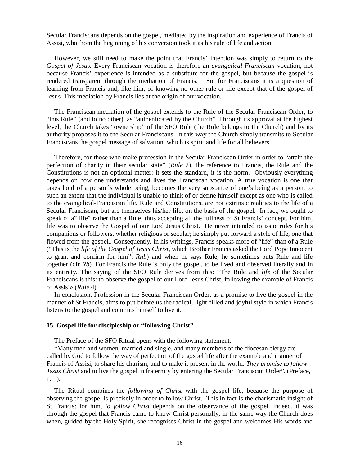Secular Franciscans depends on the gospel, mediated by the inspiration and experience of Francis of Assisi, who from the beginning of his conversion took it as his rule of life and action.

However, we still need to make the point that Francis' intention was simply to return to the *Gospel of Jesus.* Every Franciscan vocation is therefore an *evangelical-Franciscan* vocation*,* not because Francis' experience is intended as a substitute for the gospel, but because the gospel is rendered transparent through the mediation of Francis. So, for Franciscans it is a question of learning from Francis and, like him, of knowing no other rule or life except that of the gospel of Jesus. This mediation by Francis lies at the origin of our vocation.

The Franciscan mediation of the gospel extends to the Rule of the Secular Franciscan Order, to "this Rule" (and to no other), as "authenticated by the Church". Through its approval at the highest level, the Church takes "ownership" of the SFO Rule (the Rule belongs to the Church) and by its authority proposes it to the Secular Franciscans. In this way the Church simply transmits to Secular Franciscans the gospel message of salvation, which is spirit and life for all believers.

Therefore, for those who make profession in the Secular Franciscan Order in order to "attain the perfection of charity in their secular state" (*Rule* 2), the reference to Francis, the Rule and the Constitutions is not an optional matter: it sets the standard, it is the norm. Obviously everything depends on how one understands and lives the Franciscan vocation. A true vocation is one that takes hold of a person's whole being, becomes the very substance of one's being as a person, to such an extent that the individual is unable to think of or define himself except as one who is called to the evangelical-Franciscan life. Rule and Constitutions, are not extrinsic realities to the life of a Secular Franciscan, but are themselves his/her life, on the basis of the gospel. In fact, we ought to speak of a" life" rather than a Rule, thus accepting all the fullness of St Francis' concept. For him, life was to observe the Gospel of our Lord Jesus Christ. He never intended to issue rules for his companions or followers, whether religious or secular; he simply put forward a style of life, one that flowed from the gospel.. Consequently, in his writings, Francis speaks more of "life" than of a Rule ("This is the *life of the Gospel of Jesus Christ,* which Brother Francis asked the Lord Pope Innocent to grant and confirm for him": *Rnb*) and when he says Rule, he sometimes puts Rule and life together (cfr *Rb*). For Francis the Rule is only the gospel, to be lived and observed literally and in its entirety. The saying of the SFO Rule derives from this: "The Rule and *life* of the Secular Franciscans is this: to observe the gospel of our Lord Jesus Christ, following the example of Francis of Assisi» (*Rule* 4).

In conclusion, Profession in the Secular Franciscan Order, as a promise to live the gospel in the manner of St Francis, aims to put before us the radical, light-filled and joyful style in which Francis listens to the gospel and commits himself to live it.

#### **15. Gospel life for discipleship or "following Christ"**

The Preface of the SFO Ritual opens with the following statement:

"Many men and women, married and single, and many members of the diocesan clergy are called by God to follow the way of perfection of the gospel life after the example and manner of Francis of Assisi, to share his charism, and to make it present in the world. *They promise to follow Jesus Christ* and to live the gospel in fraternity by entering the Secular Franciscan Order". (Preface, n. 1).

The Ritual combines the *following of Christ* with the gospel life, because the purpose of observing the gospel is precisely in order to follow Christ. This in fact is the charismatic insight of St Francis: for him, *to follow Christ* depends on the observance of the gospel. Indeed, it was through the gospel that Francis came to know Christ personally, in the same way the Church does when, guided by the Holy Spirit, she recognises Christ in the gospel and welcomes His words and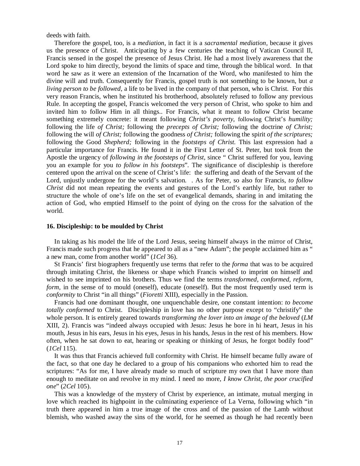deeds with faith.

Therefore the gospel, too, is a *mediation,* in fact it is a *sacramental mediation,* because it gives us the presence of Christ. Anticipating by a few centuries the teaching of Vatican Council II, Francis sensed in the gospel the presence of Jesus Christ. He had a most lively awareness that the Lord spoke to him directly, beyond the limits of space and time, through the biblical word. In that word he saw as it were an extension of the Incarnation of the Word, who manifested to him the divine will and truth. Consequently for Francis, gospel truth is not something to be known, but *a living person to be followed*, a life to be lived in the company of that person, who is Christ. For this very reason Francis, when he instituted his brotherhood, absolutely refused to follow any previous Rule. In accepting the gospel, Francis welcomed the very person of Christ, who spoke to him and invited him to follow Him in all things.. For Francis, what it meant to follow Christ became something extremely concrete: it meant following *Christ's poverty*, following Christ's *humility;* following the life *of Christ;* following the *precepts of Christ;* following the doctrine *of Christ;* following the will *of Christ;* following the goodness *of Christ;* following the spirit *of the scriptures;* following the Good *Shepherd;* following in the *footsteps of Christ.* This last expression had a particular importance for Francis. He found it in the First Letter of St. Peter, but took from the Apostle the urgency of *following in the footsteps of Christ,* since " Christ suffered for you, leaving you an example for you *to follow in his footsteps*"*.* The significance of discipleship is therefore centered upon the arrival on the scene of Christ's life: the suffering and death of the Servant of the Lord, unjustly undergone for the world's salvation. . As for Peter, so also for Francis, *to follow Christ* did not mean repeating the events and gestures of the Lord's earthly life, but rather to structure the whole of one's life on the set of evangelical demands, sharing in and imitating the action of God, who emptied Himself to the point of dying on the cross for the salvation of the world.

#### **16. Discipleship: to be moulded by Christ**

In taking as his model the life of the Lord Jesus, seeing himself always in the mirror of Christ, Francis made such progress that he appeared to all as a "new Adam"; the people acclaimed him as " a new man, come from another world" (*1Cel* 36).

St Francis' first biographers frequently use terms that refer to the *forma* that was to be acquired through imitating Christ, the likeness or shape which Francis wished to imprint on himself and wished to see imprinted on his brothers. Thus we find the terms *transformed, conformed, reform, form*, in the sense of to mould (oneself), educate (oneself). But the most frequently used term is *conformity* to Christ "in all things" (*Fioretti* XIII), especially in the Passion.

Francis had one dominant thought, one unquenchable desire, one constant intention: *to become totally conformed* to Christ. Discipleship in love has no other purpose except to "christify" the whole person. It is entirely geared towards *transforming the lover into an image of the beloved* (*LM* XIII, 2). Francis was "indeed always occupied with Jesus: Jesus he bore in hi heart, Jesus in his mouth, Jesus in his ears, Jesus in his eyes, Jesus in his hands, Jesus in the rest of his members. How often, when he sat down to eat, hearing or speaking or thinking of Jesus, he forgot bodily food" (*1Cel* 115).

It was thus that Francis achieved full conformity with Christ. He himself became fully aware of the fact, so that one day he declared to a group of his companions who exhorted him to read the scriptures: "As for me, I have already made so much of scripture my own that I have more than enough to meditate on and revolve in my mind. I need no more, *I know Christ, the poor crucified one*" (*2Cel* 105).

This was a knowledge of the mystery of Christ by experience, an intimate, mutual merging in love which reached its highpoint in the culminating experience of La Verna, following which "in truth there appeared in him a true image of the cross and of the passion of the Lamb without blemish, who washed away the sins of the world, for he seemed as though he had recently been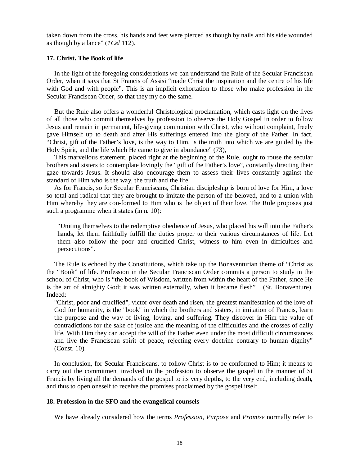taken down from the cross, his hands and feet were pierced as though by nails and his side wounded as though by a lance" (*1Cel* 112).

# **17. Christ. The Book of life**

In the light of the foregoing considerations we can understand the Rule of the Secular Franciscan Order, when it says that St Francis of Assisi "made Christ the inspiration and the centre of his life with God and with people". This is an implicit exhortation to those who make profession in the Secular Franciscan Order, so that they my do the same.

But the Rule also offers a wonderful Christological proclamation, which casts light on the lives of all those who commit themselves by profession to observe the Holy Gospel in order to follow Jesus and remain in permanent, life-giving communion with Christ, who without complaint, freely gave Himself up to death and after His sufferings entered into the glory of the Father. In fact, "Christ, gift of the Father's love, is the way to Him, is the truth into which we are guided by the Holy Spirit, and the life which He came to give in abundance" (73),

This marvellous statement, placed right at the beginning of the Rule, ought to rouse the secular brothers and sisters to contemplate lovingly the "gift of the Father's love", constantly directing their gaze towards Jesus. It should also encourage them to assess their lives constantly against the standard of Him who is the way, the truth and the life.

As for Francis, so for Secular Franciscans, Christian discipleship is born of love for Him, a love so total and radical that they are brought to imitate the person of the beloved, and to a union with Him whereby they are con-formed to Him who is the object of their love. The Rule proposes just such a programme when it states (in n. 10):

 "Uniting themselves to the redemptive obedience of Jesus, who placed his will into the Father's hands, let them faithfully fulfill the duties proper to their various circumstances of life. Let them also follow the poor and crucified Christ, witness to him even in difficulties and persecutions".

The Rule is echoed by the Constitutions, which take up the Bonaventurian theme of "Christ as the "Book" of life. Profession in the Secular Franciscan Order commits a person to study in the school of Christ, who is "the book of Wisdom, written from within the heart of the Father, since He is the art of almighty God; it was written externally, when it became flesh" (St. Bonaventure). Indeed:

"Christ, poor and crucified", victor over death and risen, the greatest manifestation of the love of God for humanity, is the "book" in which the brothers and sisters, in imitation of Francis, learn the purpose and the way of living, loving, and suffering. They discover in Him the value of contradictions for the sake of justice and the meaning of the difficulties and the crosses of daily life. With Him they can accept the will of the Father even under the most difficult circumstances and live the Franciscan spirit of peace, rejecting every doctrine contrary to human dignity" (Const. 10).

In conclusion, for Secular Franciscans, to follow Christ is to be conformed to Him; it means to carry out the commitment involved in the profession to observe the gospel in the manner of St Francis by living all the demands of the gospel to its very depths, to the very end, including death, and thus to open oneself to receive the promises proclaimed by the gospel itself.

### **18. Profession in the SFO and the evangelical counsels**

We have already considered how the terms *Profession, Purpose* and *Promise* normally refer to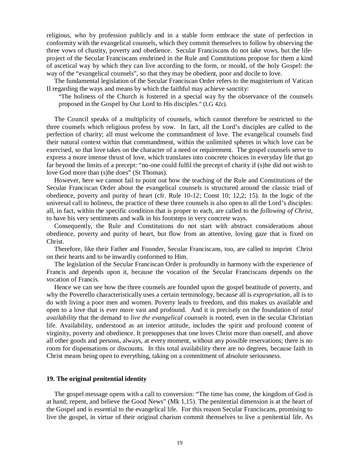religious, who by profession publicly and in a stable form embrace the state of perfection in conformity with the evangelical counsels, which they commit themselves to follow by observing the three vows of chastity, poverty and obedience. Secular Franciscans do not take vows, but the lifeproject of the Secular Franciscans enshrined in the Rule and Constitutions propose for them a kind of ascetical way by which they can live according to the form, or mould, of the holy Gospel: the way of the "evangelical counsels", so that they may be obedient, poor and docile to love.

The fundamental legislation of the Secular Franciscan Order refers to the magisterium of Vatican II regarding the ways and means by which the faithful may achieve sanctity:

"The holiness of the Church is fostered in a special way by the observance of the counsels proposed in the Gospel by Our Lord to His disciples." (LG 42c).

The Council speaks of a multiplicity of counsels, which cannot therefore be restricted to the three counsels which religious profess by vow. In fact, all the Lord's disciples are called to the perfection of charity; all must welcome the commandment of love. The evangelical counsels find their natural context within that commandment, within the unlimited spheres in which love can be exercised, so that love takes on the character of a need or requirement. The gospel counsels serve to express a more intense thrust of love, which translates into concrete choices in everyday life that go far beyond the limits of a precept: "no-one could fulfil the precept of charity if (s)he did not wish to love God more than (s)he does" (St Thomas).

However, here we cannot fail to point out how the teaching of the Rule and Constitutions of the Secular Franciscan Order about the evangelical counsels is structured around the classic triad of obedience, poverty and purity of heart (cfr. Rule 10-12; Const 10; 12,2; 15). In the logic of the universal call to holiness, the practice of these three counsels is also open to all the Lord's disciples: all, in fact, within the specific condition that is proper to each, are called to the *following of Christ,*  to have his very sentiments and walk in his footsteps in very concrete ways.

Consequently, the Rule and Constitutions do not start with abstract considerations about obedience, poverty and purity of heart, but flow from an attentive, loving gaze that is fixed on Christ.

Therefore, like their Father and Founder, Secular Franciscans, too, are called to imprint Christ on their hearts and to be inwardly conformed to Him.

The legislation of the Secular Franciscan Order is profoundly in harmony with the experience of Francis and depends upon it, because the vocation of the Secular Franciscans depends on the vocation of Francis.

Hence we can see how the three counsels are founded upon the gospel beatitude of poverty, and why the Poverello characteristically uses a certain terminology, because all is *expropriation,* all is to do with living a poor men and women. Poverty leads to freedom, and this makes us available and open to a love that is ever more vast and profound. And it is precisely on the foundation of *total availability* that the demand to *live the evangelical counsels* is rooted, even in the secular Christian life. Availability, understood as an interior attitude, includes the spirit and profound content of virginity, poverty and obedience. It presupposes that one loves Christ more than oneself, and above all other goods and persons, always, at every moment, without any possible reservations; there is no room for dispensations or discounts. In this total availability there are no degrees, because faith in Christ means being open to everything, taking on a commitment of absolute seriousness.

#### **19. The original penitential identity**

The gospel message opens with a call to conversion: "The time has come, the kingdom of God is at hand; repent, and believe the Good News" (Mk 1,15). The penitential dimension is at the heart of the Gospel and is essential to the evangelical life. For this reason Secular Franciscans, promising to live the gospel, in virtue of their original charism commit themselves to live a penitential life. As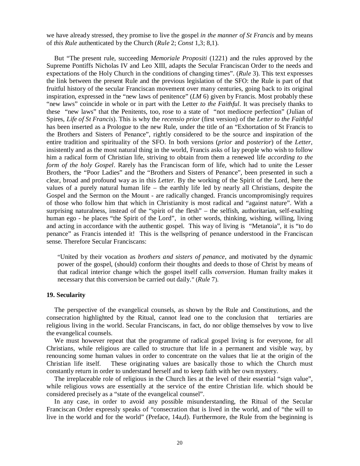we have already stressed, they promise to live the gospel *in the manner of St Francis* and by means of *this Rule* authenticated by the Church (*Rule* 2; *Const* 1,3; 8,1).

But "The present rule, succeeding *Memoriale Propositi* (1221) and the rules approved by the Supreme Pontiffs Nicholas IV and Leo XIII, adapts the Secular Franciscan Order to the needs and expectations of the Holy Church in the conditions of changing times". (*Rule* 3). This text expresses the link between the present Rule and the previous legislation of the SFO: the Rule is part of that fruitful history of the secular Franciscan movement over many centuries, going back to its original inspiration, expressed in the "new laws of penitence" (*LM* 6) given by Francis. Most probably these "new laws" coincide in whole or in part with the Letter *to the Faithful*. It was precisely thanks to these "new laws" that the Penitents, too, rose to a state of "not mediocre perfection" (Julian of Spires, *Life of St Francis*). This is why the *recensio prior* (first version) of the *Letter to the Faithful* has been inserted as a Prologue to the new Rule, under the title of an "Exhortation of St Francis to the Brothers and Sisters of Penance", rightly considered to be the source and inspiration of the entire tradition and spirituality of the SFO. In both versions (*prior* and *posterior*) of the *Letter*, insistently and as the most natural thing in the world, Francis asks of lay people who wish to follow him a radical form of Christian life, striving to obtain from them a renewed life *according to the form of the holy Gospel*. Rarely has the Franciscan form of life, which had to unite the Lesser Brothers, the "Poor Ladies" and the "Brothers and Sisters of Penance", been presented in such a clear, broad and profound way as in this *Letter*. By the working of the Spirit of the Lord, here the values of a purely natural human life – the earthly life led by nearly all Christians, despite the Gospel and the Sermon on the Mount - are radically changed. Francis uncompromisingly requires of those who follow him that which in Christianity is most radical and "against nature". With a surprising naturalness, instead of the "spirit of the flesh" – the selfish, authoritarian, self-exalting human ego - he places "the Spirit of the Lord", in other words, thinking, wishing, willing, living and acting in accordance with the authentic gospel. This way of living is "Metanoia", it is "to do penance" as Francis intended it! This is the wellspring of penance understood in the Franciscan sense. Therefore Secular Franciscans:

 "United by their vocation as *brothers and sisters of penance*, and motivated by the dynamic power of the gospel, (should) conform their thoughts and deeds to those of Christ by means of that radical interior change which the gospel itself calls *conversion*. Human frailty makes it necessary that this conversion be carried out daily." (*Rule* 7).

### **19. Secularity**

The perspective of the evangelical counsels, as shown by the Rule and Constitutions, and the consecration highlighted by the Ritual, cannot lead one to the conclusion that tertiaries are religious living in the world. Secular Franciscans, in fact, do nor oblige themselves by vow to live the evangelical counsels.

We must however repeat that the programme of radical gospel living is for everyone, for all Christians, while religious are called to structure that life in a permanent and visible way, by renouncing some human values in order to concentrate on the values that lie at the origin of the Christian life itself. These originating values are basically those to which the Church must constantly return in order to understand herself and to keep faith with her own mystery.

The irreplaceable role of religious in the Church lies at the level of their essential "sign value", while religious vows are essentially at the service of the entire Christian life. which should be considered precisely as a "state of the evangelical counsel".

In any case, in order to avoid any possible misunderstanding, the Ritual of the Secular Franciscan Order expressly speaks of "consecration that is lived in the world, and of "the will to live in the world and for the world" (Preface, 14a,d). Furthermore, the Rule from the beginning is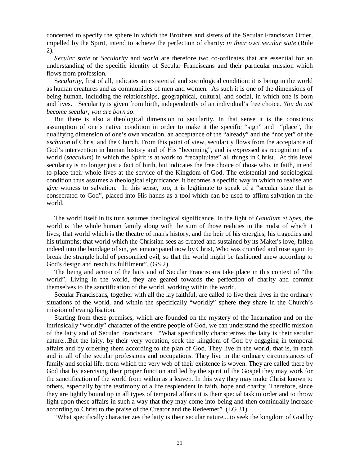concerned to specify the sphere in which the Brothers and sisters of the Secular Franciscan Order, impelled by the Spirit, intend to achieve the perfection of charity: *in their own secular state* (Rule 2).

*Secular state* or *Secularity* and *world* are therefore two co-ordinates that are essential for an understanding of the specific identity of Secular Franciscans and their particular mission which flows from profession.

S*ecularity,* first of all, indicates an existential and sociological condition: it is being in the world as human creatures and as communities of men and women. As such it is one of the dimensions of being human, including the relationships, geographical, cultural, and social, in which one is born and lives. Secularity is given from birth, independently of an individual's free choice. *You do not become secular, you are born so*.

But there is also a theological dimension to secularity. In that sense it is the conscious assumption of one's native condition in order to make it the specific "sign" and "place", the qualifying dimension of one's own vocation, an acceptance of the "already" and the "not yet" of the *eschaton* of Christ and the Church. From this point of view, secularity flows from the acceptance of God's intervention in human history and of His "becoming", and is expressed as recognition of a world (*saeculum*) in which the Spirit is at work to "recapitulate" all things in Christ. At this level secularity is no longer just a fact of birth, but indicates the free choice of those who, in faith, intend to place their whole lives at the service of the Kingdom of God. The existential and sociological condition thus assumes a theological significance: it becomes a specific way in which to realise and give witness to salvation. In this sense, too, it is legitimate to speak of a "secular state that is consecrated to God", placed into His hands as a tool which can be used to affirm salvation in the world.

The world itself in its turn assumes theological significance. In the light of *Gaudium et Spes,* the world is "the whole human family along with the sum of those realities in the midst of which it lives; that world which is the theatre of man's history, and the heir of his energies, his tragedies and his triumphs; that world which the Christian sees as created and sustained by its Maker's love, fallen indeed into the bondage of sin, yet emancipated now by Christ, Who was crucified and rose again to break the strangle hold of personified evil, so that the world might be fashioned anew according to God's design and reach its fulfilment". (GS 2).

The being and action of the laity and of Secular Franciscans take place in this context of "the world". Living in the world, they are geared towards the perfection of charity and commit themselves to the sanctification of the world, working within the world.

Secular Franciscans, together with all the lay faithful, are called to live their lives in the ordinary situations of the world, and within the specifically "worldly" sphere they share in the Church's mission of evangelisation.

Starting from these premises, which are founded on the mystery of the Incarnation and on the intrinsically "worldly" character of the entire people of God, we can understand the specific mission of the laity and of Secular Franciscans. "What specifically characterizes the laity is their secular nature...But the laity, by their very vocation, seek the kingdom of God by engaging in temporal affairs and by ordering them according to the plan of God. They live in the world, that is, in each and in all of the secular professions and occupations. They live in the ordinary circumstances of family and social life, from which the very web of their existence is woven. They are called there by God that by exercising their proper function and led by the spirit of the Gospel they may work for the sanctification of the world from within as a leaven. In this way they may make Christ known to others, especially by the testimony of a life resplendent in faith, hope and charity. Therefore, since they are tightly bound up in all types of temporal affairs it is their special task to order and to throw light upon these affairs in such a way that they may come into being and then continually increase according to Christ to the praise of the Creator and the Redeemer". (LG 31).

"What specifically characterizes the laity is their secular nature....to seek the kingdom of God by